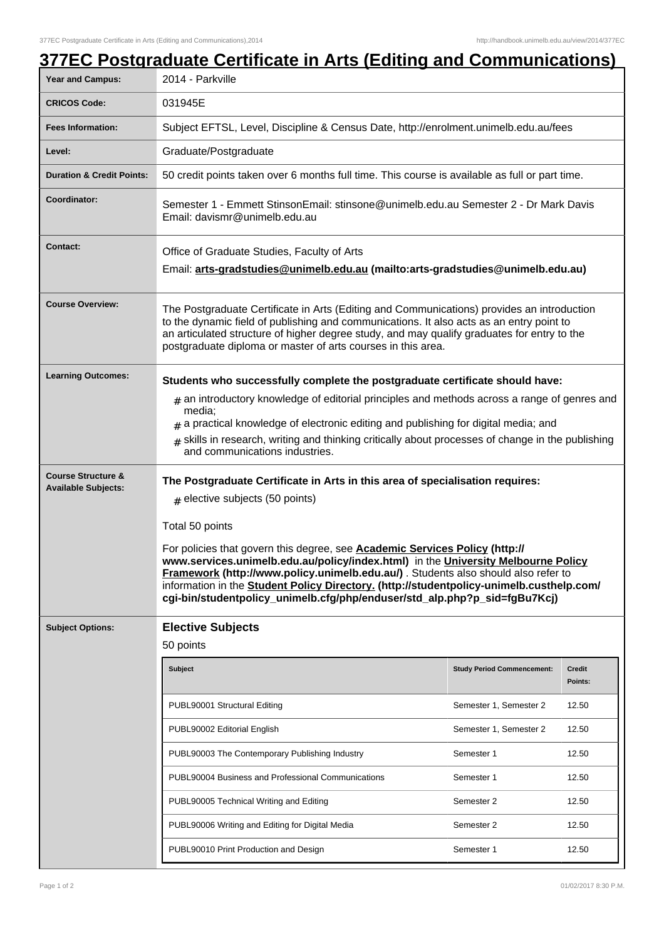| Year and Campus:                                            | 2014 - Parkville                                                                                                                                                                                                                                                                                                                                                                                                                                                                                                                                                               |                                   |                   |  |
|-------------------------------------------------------------|--------------------------------------------------------------------------------------------------------------------------------------------------------------------------------------------------------------------------------------------------------------------------------------------------------------------------------------------------------------------------------------------------------------------------------------------------------------------------------------------------------------------------------------------------------------------------------|-----------------------------------|-------------------|--|
| <b>CRICOS Code:</b>                                         | 031945E                                                                                                                                                                                                                                                                                                                                                                                                                                                                                                                                                                        |                                   |                   |  |
| <b>Fees Information:</b>                                    | Subject EFTSL, Level, Discipline & Census Date, http://enrolment.unimelb.edu.au/fees                                                                                                                                                                                                                                                                                                                                                                                                                                                                                           |                                   |                   |  |
| Level:                                                      | Graduate/Postgraduate                                                                                                                                                                                                                                                                                                                                                                                                                                                                                                                                                          |                                   |                   |  |
| <b>Duration &amp; Credit Points:</b>                        | 50 credit points taken over 6 months full time. This course is available as full or part time.                                                                                                                                                                                                                                                                                                                                                                                                                                                                                 |                                   |                   |  |
| Coordinator:                                                | Semester 1 - Emmett StinsonEmail: stinsone@unimelb.edu.au Semester 2 - Dr Mark Davis<br>Email: davismr@unimelb.edu.au                                                                                                                                                                                                                                                                                                                                                                                                                                                          |                                   |                   |  |
| <b>Contact:</b>                                             | Office of Graduate Studies, Faculty of Arts<br>Email: arts-gradstudies@unimelb.edu.au (mailto: arts-gradstudies@unimelb.edu.au)                                                                                                                                                                                                                                                                                                                                                                                                                                                |                                   |                   |  |
| <b>Course Overview:</b>                                     | The Postgraduate Certificate in Arts (Editing and Communications) provides an introduction<br>to the dynamic field of publishing and communications. It also acts as an entry point to<br>an articulated structure of higher degree study, and may qualify graduates for entry to the<br>postgraduate diploma or master of arts courses in this area.                                                                                                                                                                                                                          |                                   |                   |  |
| <b>Learning Outcomes:</b>                                   | Students who successfully complete the postgraduate certificate should have:<br>$*$ an introductory knowledge of editorial principles and methods across a range of genres and<br>media:<br>$#$ a practical knowledge of electronic editing and publishing for digital media; and<br>$#$ skills in research, writing and thinking critically about processes of change in the publishing<br>and communications industries.                                                                                                                                                     |                                   |                   |  |
| <b>Course Structure &amp;</b><br><b>Available Subjects:</b> | The Postgraduate Certificate in Arts in this area of specialisation requires:<br>$#$ elective subjects (50 points)<br>Total 50 points<br>For policies that govern this degree, see <b>Academic Services Policy (http://</b><br>www.services.unimelb.edu.au/policy/index.html) in the University Melbourne Policy<br>Framework (http://www.policy.unimelb.edu.au/). Students also should also refer to<br>information in the Student Policy Directory. (http://studentpolicy-unimelb.custhelp.com/<br>cgi-bin/studentpolicy_unimelb.cfg/php/enduser/std_alp.php?p_sid=fgBu7Kcj) |                                   |                   |  |
| <b>Subject Options:</b>                                     | <b>Elective Subjects</b>                                                                                                                                                                                                                                                                                                                                                                                                                                                                                                                                                       |                                   |                   |  |
|                                                             | 50 points                                                                                                                                                                                                                                                                                                                                                                                                                                                                                                                                                                      |                                   |                   |  |
|                                                             | <b>Subject</b>                                                                                                                                                                                                                                                                                                                                                                                                                                                                                                                                                                 | <b>Study Period Commencement:</b> | Credit<br>Points: |  |
|                                                             | PUBL90001 Structural Editing                                                                                                                                                                                                                                                                                                                                                                                                                                                                                                                                                   | Semester 1, Semester 2            | 12.50             |  |
|                                                             | PUBL90002 Editorial English                                                                                                                                                                                                                                                                                                                                                                                                                                                                                                                                                    | Semester 1, Semester 2            | 12.50             |  |
|                                                             | PUBL90003 The Contemporary Publishing Industry                                                                                                                                                                                                                                                                                                                                                                                                                                                                                                                                 | Semester 1                        | 12.50             |  |
|                                                             | PUBL90004 Business and Professional Communications                                                                                                                                                                                                                                                                                                                                                                                                                                                                                                                             | Semester 1                        | 12.50             |  |
|                                                             | PUBL90005 Technical Writing and Editing                                                                                                                                                                                                                                                                                                                                                                                                                                                                                                                                        | Semester 2                        | 12.50             |  |
|                                                             | PUBL90006 Writing and Editing for Digital Media                                                                                                                                                                                                                                                                                                                                                                                                                                                                                                                                | Semester 2                        | 12.50             |  |
|                                                             |                                                                                                                                                                                                                                                                                                                                                                                                                                                                                                                                                                                |                                   |                   |  |